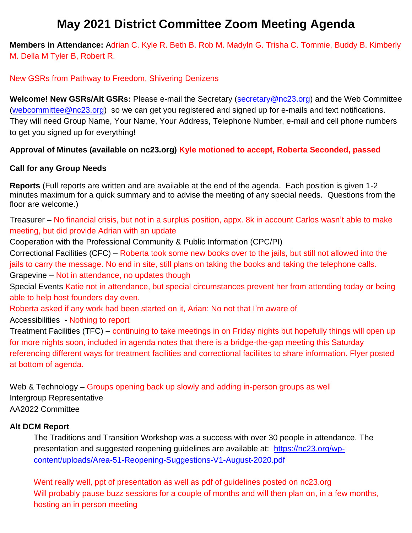# **May 2021 District Committee Zoom Meeting Agenda**

**Members in Attendance:** Adrian C. Kyle R. Beth B. Rob M. Madyln G. Trisha C. Tommie, Buddy B. Kimberly M. Della M Tyler B, Robert R.

### New GSRs from Pathway to Freedom, Shivering Denizens

**Welcome! New GSRs/Alt GSRs:** Please e-mail the Secretary [\(secretary@nc23.org\)](mailto:secretary@nc23.org) and the Web Committee [\(webcommittee@nc23.org\)](mailto:webcommittee@nc23.org) so we can get you registered and signed up for e-mails and text notifications. They will need Group Name, Your Name, Your Address, Telephone Number, e-mail and cell phone numbers to get you signed up for everything!

## **Approval of Minutes (available on nc23.org) Kyle motioned to accept, Roberta Seconded, passed**

## **Call for any Group Needs**

**Reports** (Full reports are written and are available at the end of the agenda. Each position is given 1-2 minutes maximum for a quick summary and to advise the meeting of any special needs. Questions from the floor are welcome.)

Treasurer – No financial crisis, but not in a surplus position, appx. 8k in account Carlos wasn't able to make meeting, but did provide Adrian with an update

Cooperation with the Professional Community & Public Information (CPC/PI)

Correctional Facilities (CFC) – Roberta took some new books over to the jails, but still not allowed into the jails to carry the message. No end in site, still plans on taking the books and taking the telephone calls. Grapevine – Not in attendance, no updates though

Special Events Katie not in attendance, but special circumstances prevent her from attending today or being able to help host founders day even.

Roberta asked if any work had been started on it, Arian: No not that I'm aware of

Accessibilities - Nothing to report

Treatment Facilities (TFC) – continuing to take meetings in on Friday nights but hopefully things will open up for more nights soon, included in agenda notes that there is a bridge-the-gap meeting this Saturday referencing different ways for treatment facilities and correctional faciliites to share information. Flyer posted at bottom of agenda.

Web & Technology – Groups opening back up slowly and adding in-person groups as well Intergroup Representative AA2022 Committee

## **Alt DCM Report**

The Traditions and Transition Workshop was a success with over 30 people in attendance. The presentation and suggested reopening guidelines are available at: [https://nc23.org/wp](https://nc23.org/wp-content/uploads/Area-51-Reopening-Suggestions-V1-August-2020.pdf)[content/uploads/Area-51-Reopening-Suggestions-V1-August-2020.pdf](https://nc23.org/wp-content/uploads/Area-51-Reopening-Suggestions-V1-August-2020.pdf)

Went really well, ppt of presentation as well as pdf of guidelines posted on nc23.org Will probably pause buzz sessions for a couple of months and will then plan on, in a few months, hosting an in person meeting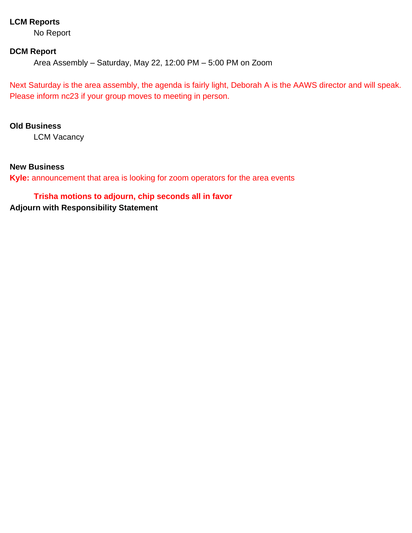## **LCM Reports**

No Report

#### **DCM Report**

Area Assembly – Saturday, May 22, 12:00 PM – 5:00 PM on Zoom

Next Saturday is the area assembly, the agenda is fairly light, Deborah A is the AAWS director and will speak. Please inform nc23 if your group moves to meeting in person.

#### **Old Business**

LCM Vacancy

#### **New Business**

**Kyle:** announcement that area is looking for zoom operators for the area events

#### **Trisha motions to adjourn, chip seconds all in favor**

**Adjourn with Responsibility Statement**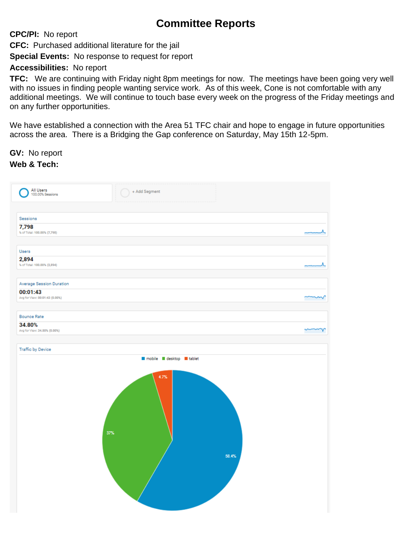## **Committee Reports**

**CPC/PI:** No report

**CFC:** Purchased additional literature for the jail

**Special Events:** No response to request for report

## **Accessibilities:** No report

**TFC:** We are continuing with Friday night 8pm meetings for now. The meetings have been going very well with no issues in finding people wanting service work. As of this week, Cone is not comfortable with any additional meetings. We will continue to touch base every week on the progress of the Friday meetings and on any further opportunities.

We have established a connection with the Area 51 TFC chair and hope to engage in future opportunities across the area. There is a Bridging the Gap conference on Saturday, May 15th 12-5pm.

**GV:** No report

## **Web & Tech:**

| All Users<br>100.00% Sessions                                          | + Add Segment                                 |    |
|------------------------------------------------------------------------|-----------------------------------------------|----|
| Sessions<br>7,798<br>% of Total: 100.00% (7,798)                       |                                               |    |
| Users<br>2,894<br>% of Total: 100.00% (2,894)                          |                                               | л. |
| Average Session Duration<br>00:01:43<br>Avg for View: 00:01:43 (0.00%) |                                               | m  |
| <b>Bounce Rate</b><br>34.80%                                           |                                               |    |
| Avg for View: 34.80% (0.00%)<br>Traffic by Device                      |                                               | v  |
|                                                                        | mobile desktop tablet<br>4.7%<br>37%<br>58.4% |    |